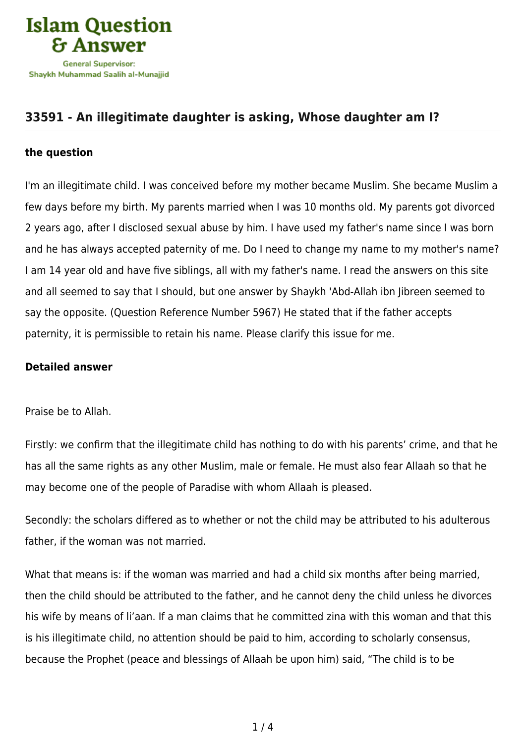

## **[33591 - An illegitimate daughter is asking, Whose daughter am I?](https://islamqa.info/en/answers/33591/an-illegitimate-daughter-is-asking-whose-daughter-am-i)**

## **the question**

I'm an illegitimate child. I was conceived before my mother became Muslim. She became Muslim a few days before my birth. My parents married when I was 10 months old. My parents got divorced 2 years ago, after I disclosed sexual abuse by him. I have used my father's name since I was born and he has always accepted paternity of me. Do I need to change my name to my mother's name? I am 14 year old and have five siblings, all with my father's name. I read the answers on this site and all seemed to say that I should, but one answer by Shaykh 'Abd-Allah ibn Jibreen seemed to say the opposite. (Question Reference Number 5967) He stated that if the father accepts paternity, it is permissible to retain his name. Please clarify this issue for me.

## **Detailed answer**

Praise be to Allah.

Firstly: we confirm that the illegitimate child has nothing to do with his parents' crime, and that he has all the same rights as any other Muslim, male or female. He must also fear Allaah so that he may become one of the people of Paradise with whom Allaah is pleased.

Secondly: the scholars differed as to whether or not the child may be attributed to his adulterous father, if the woman was not married.

What that means is: if the woman was married and had a child six months after being married, then the child should be attributed to the father, and he cannot deny the child unless he divorces his wife by means of li'aan. If a man claims that he committed zina with this woman and that this is his illegitimate child, no attention should be paid to him, according to scholarly consensus, because the Prophet (peace and blessings of Allaah be upon him) said, "The child is to be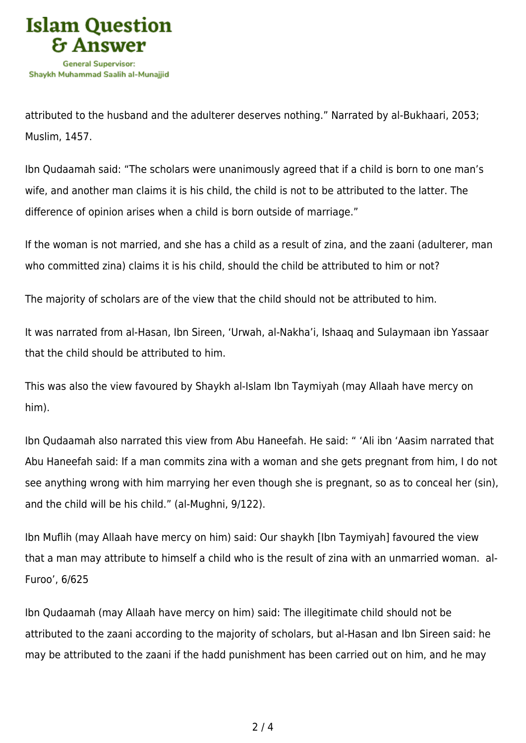

attributed to the husband and the adulterer deserves nothing." Narrated by al-Bukhaari, 2053; Muslim, 1457.

Ibn Qudaamah said: "The scholars were unanimously agreed that if a child is born to one man's wife, and another man claims it is his child, the child is not to be attributed to the latter. The difference of opinion arises when a child is born outside of marriage."

If the woman is not married, and she has a child as a result of zina, and the zaani (adulterer, man who committed zina) claims it is his child, should the child be attributed to him or not?

The majority of scholars are of the view that the child should not be attributed to him.

It was narrated from al-Hasan, Ibn Sireen, 'Urwah, al-Nakha'i, Ishaaq and Sulaymaan ibn Yassaar that the child should be attributed to him.

This was also the view favoured by Shaykh al-Islam Ibn Taymiyah (may Allaah have mercy on him).

Ibn Qudaamah also narrated this view from Abu Haneefah. He said: " 'Ali ibn 'Aasim narrated that Abu Haneefah said: If a man commits zina with a woman and she gets pregnant from him, I do not see anything wrong with him marrying her even though she is pregnant, so as to conceal her (sin), and the child will be his child." (al-Mughni, 9/122).

Ibn Muflih (may Allaah have mercy on him) said: Our shaykh [Ibn Taymiyah] favoured the view that a man may attribute to himself a child who is the result of zina with an unmarried woman. al-Furoo', 6/625

Ibn Qudaamah (may Allaah have mercy on him) said: The illegitimate child should not be attributed to the zaani according to the majority of scholars, but al-Hasan and Ibn Sireen said: he may be attributed to the zaani if the hadd punishment has been carried out on him, and he may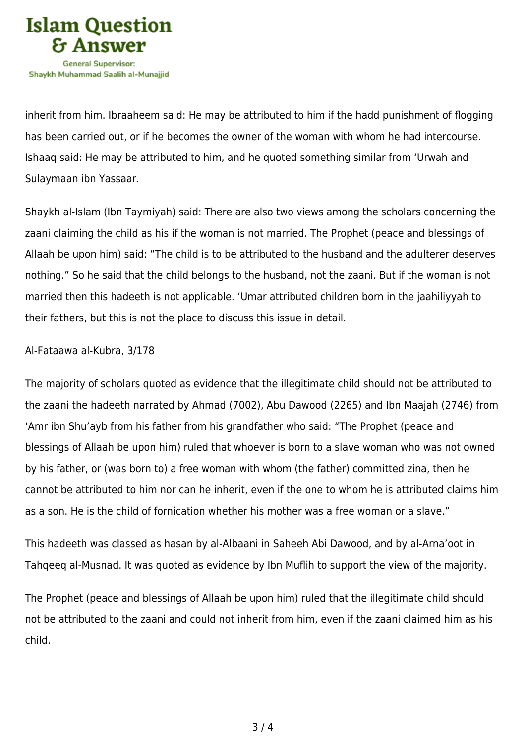

inherit from him. Ibraaheem said: He may be attributed to him if the hadd punishment of flogging has been carried out, or if he becomes the owner of the woman with whom he had intercourse. Ishaaq said: He may be attributed to him, and he quoted something similar from 'Urwah and Sulaymaan ibn Yassaar.

Shaykh al-Islam (Ibn Taymiyah) said: There are also two views among the scholars concerning the zaani claiming the child as his if the woman is not married. The Prophet (peace and blessings of Allaah be upon him) said: "The child is to be attributed to the husband and the adulterer deserves nothing." So he said that the child belongs to the husband, not the zaani. But if the woman is not married then this hadeeth is not applicable. 'Umar attributed children born in the jaahiliyyah to their fathers, but this is not the place to discuss this issue in detail.

## Al-Fataawa al-Kubra, 3/178

The majority of scholars quoted as evidence that the illegitimate child should not be attributed to the zaani the hadeeth narrated by Ahmad (7002), Abu Dawood (2265) and Ibn Maajah (2746) from 'Amr ibn Shu'ayb from his father from his grandfather who said: "The Prophet (peace and blessings of Allaah be upon him) ruled that whoever is born to a slave woman who was not owned by his father, or (was born to) a free woman with whom (the father) committed zina, then he cannot be attributed to him nor can he inherit, even if the one to whom he is attributed claims him as a son. He is the child of fornication whether his mother was a free woman or a slave."

This hadeeth was classed as hasan by al-Albaani in Saheeh Abi Dawood, and by al-Arna'oot in Tahqeeq al-Musnad. It was quoted as evidence by Ibn Muflih to support the view of the majority.

The Prophet (peace and blessings of Allaah be upon him) ruled that the illegitimate child should not be attributed to the zaani and could not inherit from him, even if the zaani claimed him as his child.